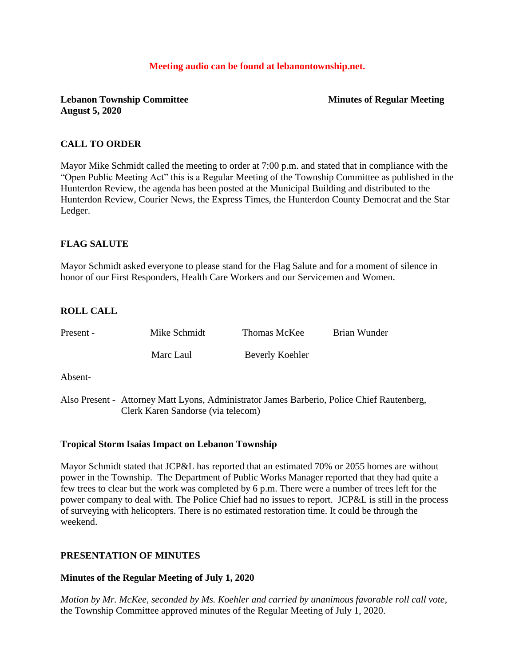## **Meeting audio can be found at lebanontownship.net.**

# **Lebanon Township Committee Minutes of Regular Meeting August 5, 2020**

# **CALL TO ORDER**

Mayor Mike Schmidt called the meeting to order at 7:00 p.m. and stated that in compliance with the "Open Public Meeting Act" this is a Regular Meeting of the Township Committee as published in the Hunterdon Review, the agenda has been posted at the Municipal Building and distributed to the Hunterdon Review, Courier News, the Express Times, the Hunterdon County Democrat and the Star Ledger.

# **FLAG SALUTE**

Mayor Schmidt asked everyone to please stand for the Flag Salute and for a moment of silence in honor of our First Responders, Health Care Workers and our Servicemen and Women.

# **ROLL CALL**

| Present - | Mike Schmidt                                                                               | Thomas McKee    | Brian Wunder |  |
|-----------|--------------------------------------------------------------------------------------------|-----------------|--------------|--|
|           | Marc Laul                                                                                  | Beverly Koehler |              |  |
| Absent-   |                                                                                            |                 |              |  |
|           | Also Present - Attorney Matt Lyons, Administrator James Barberio, Police Chief Rautenberg, |                 |              |  |

# **Tropical Storm Isaias Impact on Lebanon Township**

Clerk Karen Sandorse (via telecom)

Mayor Schmidt stated that JCP&L has reported that an estimated 70% or 2055 homes are without power in the Township. The Department of Public Works Manager reported that they had quite a few trees to clear but the work was completed by 6 p.m. There were a number of trees left for the power company to deal with. The Police Chief had no issues to report. JCP&L is still in the process of surveying with helicopters. There is no estimated restoration time. It could be through the weekend.

# **PRESENTATION OF MINUTES**

# **Minutes of the Regular Meeting of July 1, 2020**

*Motion by Mr. McKee, seconded by Ms. Koehler and carried by unanimous favorable roll call vote,* the Township Committee approved minutes of the Regular Meeting of July 1, 2020.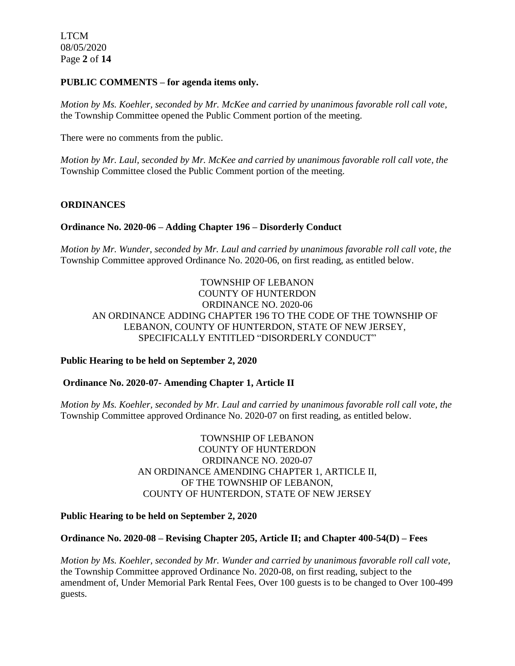LTCM 08/05/2020 Page **2** of **14**

## **PUBLIC COMMENTS – for agenda items only.**

*Motion by Ms. Koehler, seconded by Mr. McKee and carried by unanimous favorable roll call vote,* the Township Committee opened the Public Comment portion of the meeting.

There were no comments from the public.

*Motion by Mr. Laul, seconded by Mr. McKee and carried by unanimous favorable roll call vote, the* Township Committee closed the Public Comment portion of the meeting.

## **ORDINANCES**

## **Ordinance No. 2020-06 – Adding Chapter 196 – Disorderly Conduct**

*Motion by Mr. Wunder, seconded by Mr. Laul and carried by unanimous favorable roll call vote, the*  Township Committee approved Ordinance No. 2020-06, on first reading, as entitled below.

TOWNSHIP OF LEBANON COUNTY OF HUNTERDON ORDINANCE NO. 2020-06 AN ORDINANCE ADDING CHAPTER 196 TO THE CODE OF THE TOWNSHIP OF LEBANON, COUNTY OF HUNTERDON, STATE OF NEW JERSEY, SPECIFICALLY ENTITLED "DISORDERLY CONDUCT"

## **Public Hearing to be held on September 2, 2020**

## **Ordinance No. 2020-07- Amending Chapter 1, Article II**

*Motion by Ms. Koehler, seconded by Mr. Laul and carried by unanimous favorable roll call vote, the*  Township Committee approved Ordinance No. 2020-07 on first reading, as entitled below.

> TOWNSHIP OF LEBANON COUNTY OF HUNTERDON ORDINANCE NO. 2020-07 AN ORDINANCE AMENDING CHAPTER 1, ARTICLE II, OF THE TOWNSHIP OF LEBANON, COUNTY OF HUNTERDON, STATE OF NEW JERSEY

## **Public Hearing to be held on September 2, 2020**

## **Ordinance No. 2020-08 – Revising Chapter 205, Article II; and Chapter 400-54(D) – Fees**

*Motion by Ms. Koehler, seconded by Mr. Wunder and carried by unanimous favorable roll call vote,* the Township Committee approved Ordinance No. 2020-08, on first reading, subject to the amendment of, Under Memorial Park Rental Fees, Over 100 guests is to be changed to Over 100-499 guests.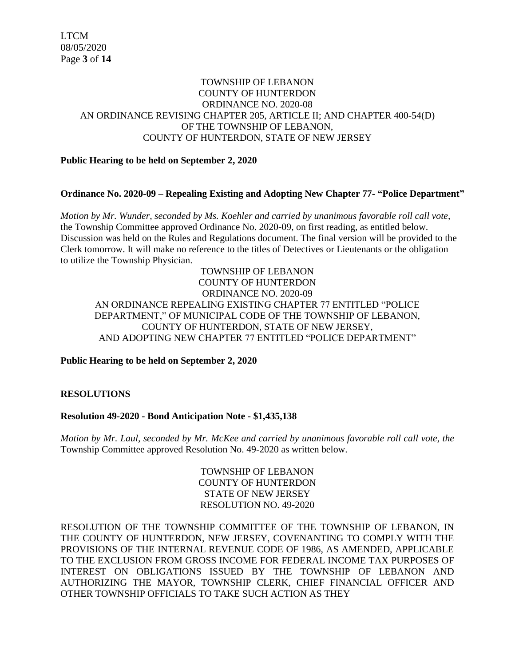## TOWNSHIP OF LEBANON COUNTY OF HUNTERDON ORDINANCE NO. 2020-08 AN ORDINANCE REVISING CHAPTER 205, ARTICLE II; AND CHAPTER 400-54(D) OF THE TOWNSHIP OF LEBANON, COUNTY OF HUNTERDON, STATE OF NEW JERSEY

## **Public Hearing to be held on September 2, 2020**

## **Ordinance No. 2020-09 – Repealing Existing and Adopting New Chapter 77- "Police Department"**

*Motion by Mr. Wunder, seconded by Ms. Koehler and carried by unanimous favorable roll call vote,* the Township Committee approved Ordinance No. 2020-09, on first reading, as entitled below. Discussion was held on the Rules and Regulations document. The final version will be provided to the Clerk tomorrow. It will make no reference to the titles of Detectives or Lieutenants or the obligation to utilize the Township Physician.

TOWNSHIP OF LEBANON COUNTY OF HUNTERDON ORDINANCE NO. 2020-09 AN ORDINANCE REPEALING EXISTING CHAPTER 77 ENTITLED "POLICE DEPARTMENT," OF MUNICIPAL CODE OF THE TOWNSHIP OF LEBANON, COUNTY OF HUNTERDON, STATE OF NEW JERSEY, AND ADOPTING NEW CHAPTER 77 ENTITLED "POLICE DEPARTMENT"

**Public Hearing to be held on September 2, 2020**

**RESOLUTIONS**

# **Resolution 49-2020 - Bond Anticipation Note - \$1,435,138**

*Motion by Mr. Laul, seconded by Mr. McKee and carried by unanimous favorable roll call vote, the* Township Committee approved Resolution No. 49-2020 as written below.

> TOWNSHIP OF LEBANON COUNTY OF HUNTERDON STATE OF NEW JERSEY RESOLUTION NO. 49-2020

RESOLUTION OF THE TOWNSHIP COMMITTEE OF THE TOWNSHIP OF LEBANON, IN THE COUNTY OF HUNTERDON, NEW JERSEY, COVENANTING TO COMPLY WITH THE PROVISIONS OF THE INTERNAL REVENUE CODE OF 1986, AS AMENDED, APPLICABLE TO THE EXCLUSION FROM GROSS INCOME FOR FEDERAL INCOME TAX PURPOSES OF INTEREST ON OBLIGATIONS ISSUED BY THE TOWNSHIP OF LEBANON AND AUTHORIZING THE MAYOR, TOWNSHIP CLERK, CHIEF FINANCIAL OFFICER AND OTHER TOWNSHIP OFFICIALS TO TAKE SUCH ACTION AS THEY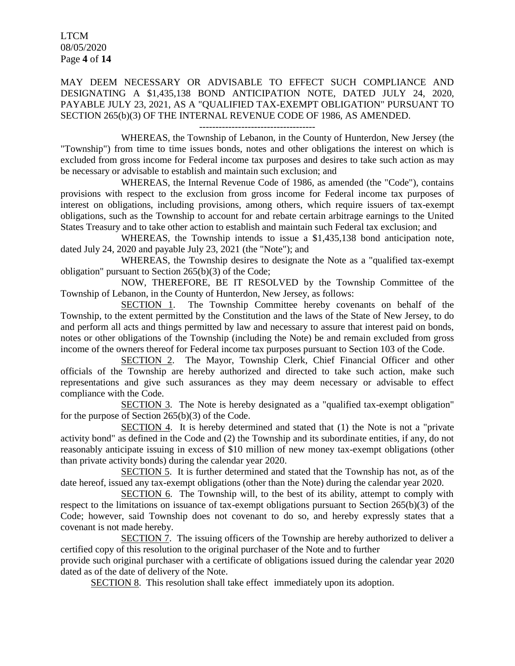LTCM 08/05/2020 Page **4** of **14**

MAY DEEM NECESSARY OR ADVISABLE TO EFFECT SUCH COMPLIANCE AND DESIGNATING A \$1,435,138 BOND ANTICIPATION NOTE, DATED JULY 24, 2020, PAYABLE JULY 23, 2021, AS A "QUALIFIED TAX-EXEMPT OBLIGATION" PURSUANT TO SECTION 265(b)(3) OF THE INTERNAL REVENUE CODE OF 1986, AS AMENDED.

WHEREAS, the Township of Lebanon, in the County of Hunterdon, New Jersey (the "Township") from time to time issues bonds, notes and other obligations the interest on which is excluded from gross income for Federal income tax purposes and desires to take such action as may be necessary or advisable to establish and maintain such exclusion; and

WHEREAS, the Internal Revenue Code of 1986, as amended (the "Code"), contains provisions with respect to the exclusion from gross income for Federal income tax purposes of interest on obligations, including provisions, among others, which require issuers of tax-exempt obligations, such as the Township to account for and rebate certain arbitrage earnings to the United States Treasury and to take other action to establish and maintain such Federal tax exclusion; and

WHEREAS, the Township intends to issue a \$1,435,138 bond anticipation note, dated July 24, 2020 and payable July 23, 2021 (the "Note"); and

WHEREAS, the Township desires to designate the Note as a "qualified tax-exempt obligation" pursuant to Section 265(b)(3) of the Code;

NOW, THEREFORE, BE IT RESOLVED by the Township Committee of the Township of Lebanon, in the County of Hunterdon, New Jersey, as follows:

SECTION 1. The Township Committee hereby covenants on behalf of the Township, to the extent permitted by the Constitution and the laws of the State of New Jersey, to do and perform all acts and things permitted by law and necessary to assure that interest paid on bonds, notes or other obligations of the Township (including the Note) be and remain excluded from gross income of the owners thereof for Federal income tax purposes pursuant to Section 103 of the Code.

SECTION 2. The Mayor, Township Clerk, Chief Financial Officer and other officials of the Township are hereby authorized and directed to take such action, make such representations and give such assurances as they may deem necessary or advisable to effect compliance with the Code.

SECTION 3. The Note is hereby designated as a "qualified tax-exempt obligation" for the purpose of Section 265(b)(3) of the Code.

SECTION 4. It is hereby determined and stated that (1) the Note is not a "private activity bond" as defined in the Code and (2) the Township and its subordinate entities, if any, do not reasonably anticipate issuing in excess of \$10 million of new money tax-exempt obligations (other than private activity bonds) during the calendar year 2020.

SECTION 5. It is further determined and stated that the Township has not, as of the date hereof, issued any tax-exempt obligations (other than the Note) during the calendar year 2020.

SECTION 6. The Township will, to the best of its ability, attempt to comply with respect to the limitations on issuance of tax-exempt obligations pursuant to Section 265(b)(3) of the Code; however, said Township does not covenant to do so, and hereby expressly states that a covenant is not made hereby.

SECTION 7. The issuing officers of the Township are hereby authorized to deliver a certified copy of this resolution to the original purchaser of the Note and to further

provide such original purchaser with a certificate of obligations issued during the calendar year 2020 dated as of the date of delivery of the Note.

SECTION 8. This resolution shall take effect immediately upon its adoption.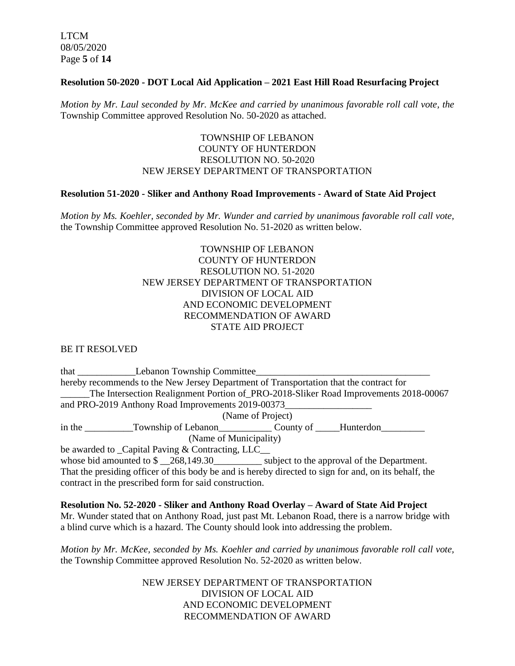LTCM 08/05/2020 Page **5** of **14**

## **Resolution 50-2020 - DOT Local Aid Application – 2021 East Hill Road Resurfacing Project**

*Motion by Mr. Laul seconded by Mr. McKee and carried by unanimous favorable roll call vote, the* Township Committee approved Resolution No. 50-2020 as attached.

## TOWNSHIP OF LEBANON COUNTY OF HUNTERDON RESOLUTION NO. 50-2020 NEW JERSEY DEPARTMENT OF TRANSPORTATION

## **Resolution 51-2020 - Sliker and Anthony Road Improvements - Award of State Aid Project**

*Motion by Ms. Koehler, seconded by Mr. Wunder and carried by unanimous favorable roll call vote,* the Township Committee approved Resolution No. 51-2020 as written below.

# TOWNSHIP OF LEBANON COUNTY OF HUNTERDON RESOLUTION NO. 51-2020 NEW JERSEY DEPARTMENT OF TRANSPORTATION DIVISION OF LOCAL AID AND ECONOMIC DEVELOPMENT RECOMMENDATION OF AWARD STATE AID PROJECT

BE IT RESOLVED

that Lebanon Township Committee hereby recommends to the New Jersey Department of Transportation that the contract for The Intersection Realignment Portion of PRO-2018-Sliker Road Improvements 2018-00067 and PRO-2019 Anthony Road Improvements 2019-00373 (Name of Project) in the Township of Lebanon County of Hunterdon (Name of Municipality) be awarded to Capital Paving & Contracting, LLC\_ whose bid amounted to  $\frac{1}{268,149.30}$  subject to the approval of the Department. That the presiding officer of this body be and is hereby directed to sign for and, on its behalf, the contract in the prescribed form for said construction.

**Resolution No. 52-2020 - Sliker and Anthony Road Overlay – Award of State Aid Project** Mr. Wunder stated that on Anthony Road, just past Mt. Lebanon Road, there is a narrow bridge with a blind curve which is a hazard. The County should look into addressing the problem.

*Motion by Mr. McKee, seconded by Ms. Koehler and carried by unanimous favorable roll call vote,* the Township Committee approved Resolution No. 52-2020 as written below.

> NEW JERSEY DEPARTMENT OF TRANSPORTATION DIVISION OF LOCAL AID AND ECONOMIC DEVELOPMENT RECOMMENDATION OF AWARD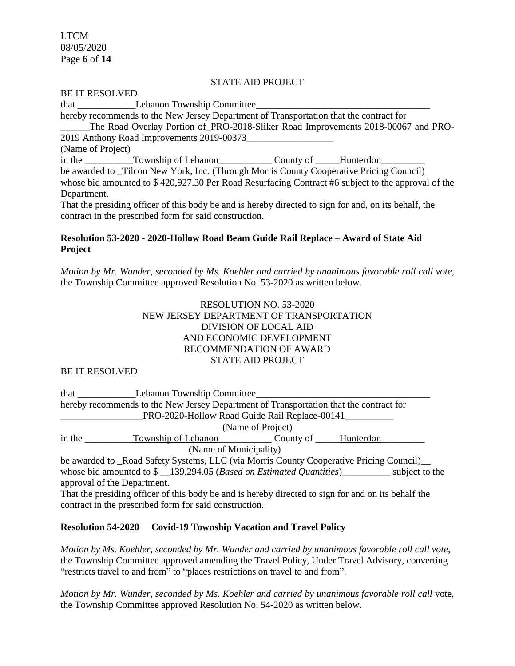LTCM 08/05/2020 Page **6** of **14**

## STATE AID PROJECT

#### BE IT RESOLVED

that \_\_\_\_\_\_\_\_\_\_\_\_Lebanon Township Committee\_\_\_\_\_\_\_\_\_\_\_\_\_\_\_\_\_\_\_\_\_\_\_\_\_\_\_\_\_\_\_\_\_\_\_\_ hereby recommends to the New Jersey Department of Transportation that the contract for The Road Overlay Portion of PRO-2018-Sliker Road Improvements 2018-00067 and PRO-2019 Anthony Road Improvements 2019-00373\_\_\_\_\_\_\_\_\_\_\_\_\_\_\_\_\_\_ (Name of Project) in the \_\_\_\_\_\_\_\_\_\_Township of Lebanon\_\_\_\_\_\_\_\_\_\_\_\_\_\_\_\_\_County of \_\_\_\_\_Hunterdon\_\_\_ be awarded to \_Tilcon New York, Inc. (Through Morris County Cooperative Pricing Council) whose bid amounted to \$ 420,927.30 Per Road Resurfacing Contract #6 subject to the approval of the Department. That the presiding officer of this body be and is hereby directed to sign for and, on its behalf, the

## **Resolution 53-2020 - 2020-Hollow Road Beam Guide Rail Replace – Award of State Aid Project**

contract in the prescribed form for said construction.

*Motion by Mr. Wunder, seconded by Ms. Koehler and carried by unanimous favorable roll call vote,* the Township Committee approved Resolution No. 53-2020 as written below.

# RESOLUTION NO. 53-2020 NEW JERSEY DEPARTMENT OF TRANSPORTATION DIVISION OF LOCAL AID AND ECONOMIC DEVELOPMENT RECOMMENDATION OF AWARD STATE AID PROJECT

#### BE IT RESOLVED

| that the contract of the contract of the contract of the contract of the contract of the contract of the contract of the contract of the contract of the contract of the contract of the contract of the contract of the contr | <b>Lebanon Township Committee</b>                                                       |  |  |                |  |
|--------------------------------------------------------------------------------------------------------------------------------------------------------------------------------------------------------------------------------|-----------------------------------------------------------------------------------------|--|--|----------------|--|
|                                                                                                                                                                                                                                | hereby recommends to the New Jersey Department of Transportation that the contract for  |  |  |                |  |
|                                                                                                                                                                                                                                | PRO-2020-Hollow Road Guide Rail Replace-00141                                           |  |  |                |  |
| (Name of Project)                                                                                                                                                                                                              |                                                                                         |  |  |                |  |
| in the                                                                                                                                                                                                                         | Township of Lebanon County of Hunterdon                                                 |  |  |                |  |
|                                                                                                                                                                                                                                | (Name of Municipality)                                                                  |  |  |                |  |
|                                                                                                                                                                                                                                | be awarded to _Road Safety Systems, LLC (via Morris County Cooperative Pricing Council) |  |  |                |  |
|                                                                                                                                                                                                                                | whose bid amounted to $\frac{139,294.05}{2}$ ( <i>Based on Estimated Quantities</i> )   |  |  | subject to the |  |
| approval of the Department.                                                                                                                                                                                                    |                                                                                         |  |  |                |  |

That the presiding officer of this body be and is hereby directed to sign for and on its behalf the contract in the prescribed form for said construction.

## **Resolution 54-2020 Covid-19 Township Vacation and Travel Policy**

*Motion by Ms. Koehler, seconded by Mr. Wunder and carried by unanimous favorable roll call vote*, the Township Committee approved amending the Travel Policy, Under Travel Advisory, converting "restricts travel to and from" to "places restrictions on travel to and from".

*Motion by Mr. Wunder, seconded by Ms. Koehler and carried by unanimous favorable roll call* vote, the Township Committee approved Resolution No. 54-2020 as written below.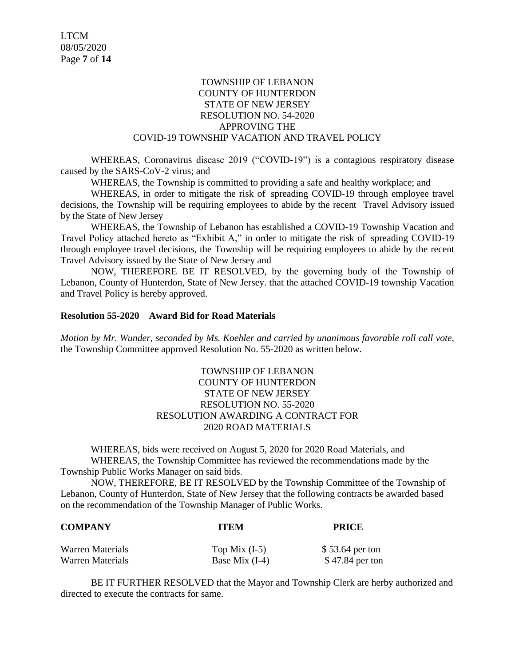## TOWNSHIP OF LEBANON COUNTY OF HUNTERDON STATE OF NEW JERSEY RESOLUTION NO. 54-2020 APPROVING THE COVID-19 TOWNSHIP VACATION AND TRAVEL POLICY

WHEREAS, Coronavirus disease 2019 ("COVID-19") is a contagious respiratory disease caused by the SARS-CoV-2 virus; and

WHEREAS, the Township is committed to providing a safe and healthy workplace; and

WHEREAS, in order to mitigate the risk of spreading COVID-19 through employee travel decisions, the Township will be requiring employees to abide by the recent Travel Advisory issued by the State of New Jersey

WHEREAS, the Township of Lebanon has established a COVID-19 Township Vacation and Travel Policy attached hereto as "Exhibit A," in order to mitigate the risk of spreading COVID-19 through employee travel decisions, the Township will be requiring employees to abide by the recent Travel Advisory issued by the State of New Jersey and

NOW, THEREFORE BE IT RESOLVED, by the governing body of the Township of Lebanon, County of Hunterdon, State of New Jersey. that the attached COVID-19 township Vacation and Travel Policy is hereby approved.

#### **Resolution 55-2020 Award Bid for Road Materials**

*Motion by Mr. Wunder, seconded by Ms. Koehler and carried by unanimous favorable roll call vote,* the Township Committee approved Resolution No. 55-2020 as written below.

## TOWNSHIP OF LEBANON COUNTY OF HUNTERDON STATE OF NEW JERSEY RESOLUTION NO. 55-2020 RESOLUTION AWARDING A CONTRACT FOR 2020 ROAD MATERIALS

WHEREAS, bids were received on August 5, 2020 for 2020 Road Materials, and WHEREAS, the Township Committee has reviewed the recommendations made by the Township Public Works Manager on said bids.

NOW, THEREFORE, BE IT RESOLVED by the Township Committee of the Township of Lebanon, County of Hunterdon, State of New Jersey that the following contracts be awarded based on the recommendation of the Township Manager of Public Works.

| <b>COMPANY</b>   | <b>ITEM</b>      | <b>PRICE</b>    |  |
|------------------|------------------|-----------------|--|
| Warren Materials | Top Mix $(I-5)$  | \$53.64 per ton |  |
| Warren Materials | Base Mix $(I-4)$ | \$47.84 per ton |  |

BE IT FURTHER RESOLVED that the Mayor and Township Clerk are herby authorized and directed to execute the contracts for same.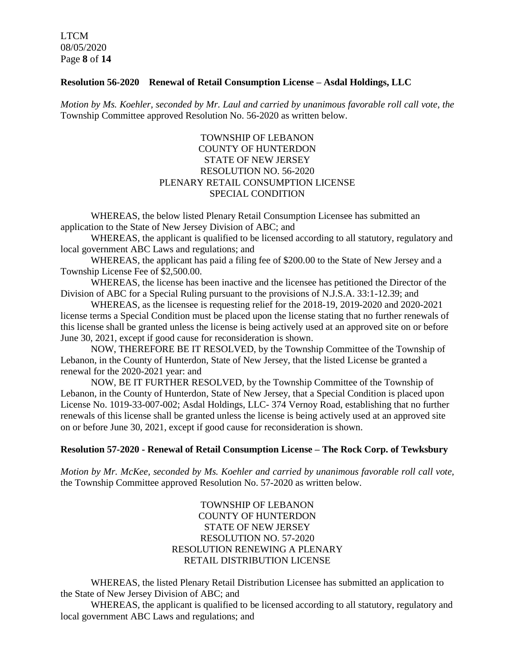LTCM 08/05/2020 Page **8** of **14**

## **Resolution 56-2020 Renewal of Retail Consumption License – Asdal Holdings, LLC**

*Motion by Ms. Koehler, seconded by Mr. Laul and carried by unanimous favorable roll call vote, the* Township Committee approved Resolution No. 56-2020 as written below.

# TOWNSHIP OF LEBANON COUNTY OF HUNTERDON STATE OF NEW JERSEY RESOLUTION NO. 56-2020 PLENARY RETAIL CONSUMPTION LICENSE SPECIAL CONDITION

WHEREAS, the below listed Plenary Retail Consumption Licensee has submitted an application to the State of New Jersey Division of ABC; and

WHEREAS, the applicant is qualified to be licensed according to all statutory, regulatory and local government ABC Laws and regulations; and

WHEREAS, the applicant has paid a filing fee of \$200.00 to the State of New Jersey and a Township License Fee of \$2,500.00.

WHEREAS, the license has been inactive and the licensee has petitioned the Director of the Division of ABC for a Special Ruling pursuant to the provisions of N.J.S.A. 33:1-12.39; and

WHEREAS, as the licensee is requesting relief for the 2018-19, 2019-2020 and 2020-2021 license terms a Special Condition must be placed upon the license stating that no further renewals of this license shall be granted unless the license is being actively used at an approved site on or before June 30, 2021, except if good cause for reconsideration is shown.

NOW, THEREFORE BE IT RESOLVED, by the Township Committee of the Township of Lebanon, in the County of Hunterdon, State of New Jersey, that the listed License be granted a renewal for the 2020-2021 year: and

NOW, BE IT FURTHER RESOLVED, by the Township Committee of the Township of Lebanon, in the County of Hunterdon, State of New Jersey, that a Special Condition is placed upon License No. 1019-33-007-002; Asdal Holdings, LLC- 374 Vernoy Road, establishing that no further renewals of this license shall be granted unless the license is being actively used at an approved site on or before June 30, 2021, except if good cause for reconsideration is shown.

## **Resolution 57-2020 - Renewal of Retail Consumption License – The Rock Corp. of Tewksbury**

*Motion by Mr. McKee, seconded by Ms. Koehler and carried by unanimous favorable roll call vote,* the Township Committee approved Resolution No. 57-2020 as written below.

# TOWNSHIP OF LEBANON COUNTY OF HUNTERDON STATE OF NEW JERSEY RESOLUTION NO. 57-2020 RESOLUTION RENEWING A PLENARY RETAIL DISTRIBUTION LICENSE

WHEREAS, the listed Plenary Retail Distribution Licensee has submitted an application to the State of New Jersey Division of ABC; and

WHEREAS, the applicant is qualified to be licensed according to all statutory, regulatory and local government ABC Laws and regulations; and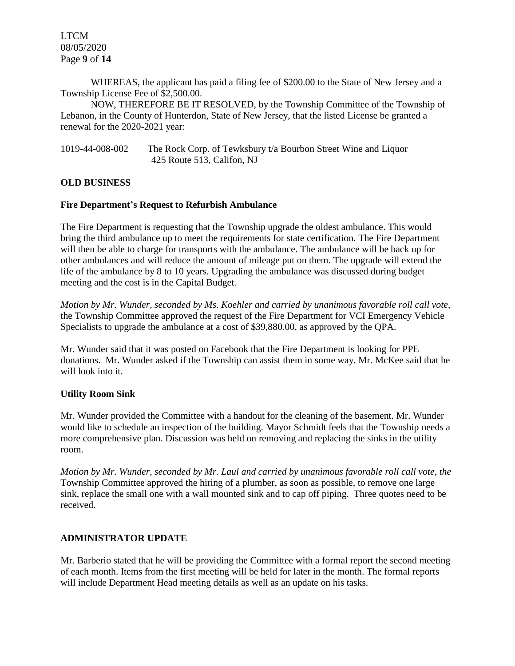LTCM 08/05/2020 Page **9** of **14**

WHEREAS, the applicant has paid a filing fee of \$200.00 to the State of New Jersey and a Township License Fee of \$2,500.00.

NOW, THEREFORE BE IT RESOLVED, by the Township Committee of the Township of Lebanon, in the County of Hunterdon, State of New Jersey, that the listed License be granted a renewal for the 2020-2021 year:

1019-44-008-002 The Rock Corp. of Tewksbury t/a Bourbon Street Wine and Liquor 425 Route 513, Califon, NJ

## **OLD BUSINESS**

## **Fire Department's Request to Refurbish Ambulance**

The Fire Department is requesting that the Township upgrade the oldest ambulance. This would bring the third ambulance up to meet the requirements for state certification. The Fire Department will then be able to charge for transports with the ambulance. The ambulance will be back up for other ambulances and will reduce the amount of mileage put on them. The upgrade will extend the life of the ambulance by 8 to 10 years. Upgrading the ambulance was discussed during budget meeting and the cost is in the Capital Budget.

*Motion by Mr. Wunder, seconded by Ms. Koehler and carried by unanimous favorable roll call vote,* the Township Committee approved the request of the Fire Department for VCI Emergency Vehicle Specialists to upgrade the ambulance at a cost of \$39,880.00, as approved by the QPA.

Mr. Wunder said that it was posted on Facebook that the Fire Department is looking for PPE donations. Mr. Wunder asked if the Township can assist them in some way. Mr. McKee said that he will look into it.

## **Utility Room Sink**

Mr. Wunder provided the Committee with a handout for the cleaning of the basement. Mr. Wunder would like to schedule an inspection of the building. Mayor Schmidt feels that the Township needs a more comprehensive plan. Discussion was held on removing and replacing the sinks in the utility room.

*Motion by Mr. Wunder, seconded by Mr. Laul and carried by unanimous favorable roll call vote, the* Township Committee approved the hiring of a plumber, as soon as possible, to remove one large sink, replace the small one with a wall mounted sink and to cap off piping. Three quotes need to be received.

## **ADMINISTRATOR UPDATE**

Mr. Barberio stated that he will be providing the Committee with a formal report the second meeting of each month. Items from the first meeting will be held for later in the month. The formal reports will include Department Head meeting details as well as an update on his tasks.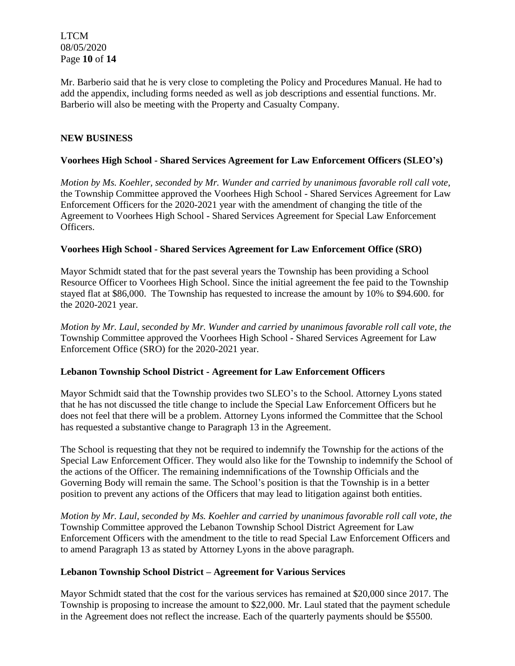LTCM 08/05/2020 Page **10** of **14**

Mr. Barberio said that he is very close to completing the Policy and Procedures Manual. He had to add the appendix, including forms needed as well as job descriptions and essential functions. Mr. Barberio will also be meeting with the Property and Casualty Company.

## **NEW BUSINESS**

## **Voorhees High School - Shared Services Agreement for Law Enforcement Officers (SLEO's)**

*Motion by Ms. Koehler, seconded by Mr. Wunder and carried by unanimous favorable roll call vote,* the Township Committee approved the Voorhees High School - Shared Services Agreement for Law Enforcement Officers for the 2020-2021 year with the amendment of changing the title of the Agreement to Voorhees High School - Shared Services Agreement for Special Law Enforcement Officers.

## **Voorhees High School - Shared Services Agreement for Law Enforcement Office (SRO)**

Mayor Schmidt stated that for the past several years the Township has been providing a School Resource Officer to Voorhees High School. Since the initial agreement the fee paid to the Township stayed flat at \$86,000. The Township has requested to increase the amount by 10% to \$94.600. for the 2020-2021 year.

*Motion by Mr. Laul, seconded by Mr. Wunder and carried by unanimous favorable roll call vote, the* Township Committee approved the Voorhees High School - Shared Services Agreement for Law Enforcement Office (SRO) for the 2020-2021 year.

## **Lebanon Township School District - Agreement for Law Enforcement Officers**

Mayor Schmidt said that the Township provides two SLEO's to the School. Attorney Lyons stated that he has not discussed the title change to include the Special Law Enforcement Officers but he does not feel that there will be a problem. Attorney Lyons informed the Committee that the School has requested a substantive change to Paragraph 13 in the Agreement.

The School is requesting that they not be required to indemnify the Township for the actions of the Special Law Enforcement Officer. They would also like for the Township to indemnify the School of the actions of the Officer. The remaining indemnifications of the Township Officials and the Governing Body will remain the same. The School's position is that the Township is in a better position to prevent any actions of the Officers that may lead to litigation against both entities.

*Motion by Mr. Laul, seconded by Ms. Koehler and carried by unanimous favorable roll call vote, the* Township Committee approved the Lebanon Township School District Agreement for Law Enforcement Officers with the amendment to the title to read Special Law Enforcement Officers and to amend Paragraph 13 as stated by Attorney Lyons in the above paragraph.

## **Lebanon Township School District – Agreement for Various Services**

Mayor Schmidt stated that the cost for the various services has remained at \$20,000 since 2017. The Township is proposing to increase the amount to \$22,000. Mr. Laul stated that the payment schedule in the Agreement does not reflect the increase. Each of the quarterly payments should be \$5500.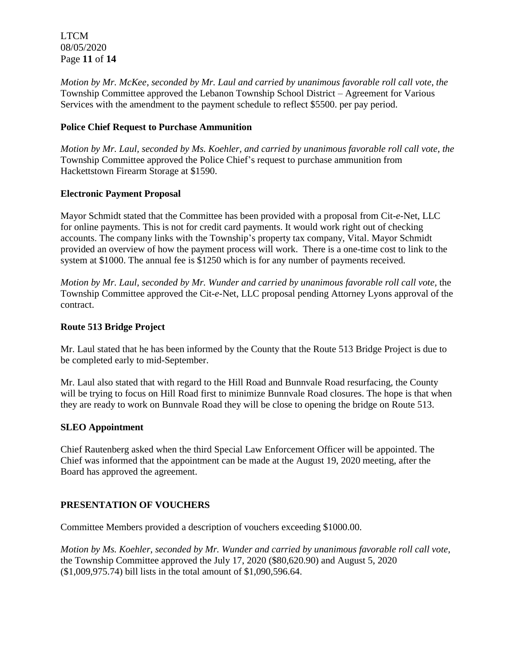LTCM 08/05/2020 Page **11** of **14**

*Motion by Mr. McKee, seconded by Mr. Laul and carried by unanimous favorable roll call vote*, *the* Township Committee approved the Lebanon Township School District – Agreement for Various Services with the amendment to the payment schedule to reflect \$5500. per pay period.

# **Police Chief Request to Purchase Ammunition**

*Motion by Mr. Laul, seconded by Ms. Koehler, and carried by unanimous favorable roll call vote, the* Township Committee approved the Police Chief's request to purchase ammunition from Hackettstown Firearm Storage at \$1590.

# **Electronic Payment Proposal**

Mayor Schmidt stated that the Committee has been provided with a proposal from Cit-*e*-Net, LLC for online payments. This is not for credit card payments. It would work right out of checking accounts. The company links with the Township's property tax company, Vital. Mayor Schmidt provided an overview of how the payment process will work. There is a one-time cost to link to the system at \$1000. The annual fee is \$1250 which is for any number of payments received.

*Motion by Mr. Laul, seconded by Mr. Wunder and carried by unanimous favorable roll call vote,* the Township Committee approved the Cit-*e*-Net, LLC proposal pending Attorney Lyons approval of the contract.

# **Route 513 Bridge Project**

Mr. Laul stated that he has been informed by the County that the Route 513 Bridge Project is due to be completed early to mid-September.

Mr. Laul also stated that with regard to the Hill Road and Bunnvale Road resurfacing, the County will be trying to focus on Hill Road first to minimize Bunnvale Road closures. The hope is that when they are ready to work on Bunnvale Road they will be close to opening the bridge on Route 513.

# **SLEO Appointment**

Chief Rautenberg asked when the third Special Law Enforcement Officer will be appointed. The Chief was informed that the appointment can be made at the August 19, 2020 meeting, after the Board has approved the agreement.

# **PRESENTATION OF VOUCHERS**

Committee Members provided a description of vouchers exceeding \$1000.00.

*Motion by Ms. Koehler, seconded by Mr. Wunder and carried by unanimous favorable roll call vote,* the Township Committee approved the July 17, 2020 (\$80,620.90) and August 5, 2020 (\$1,009,975.74) bill lists in the total amount of \$1,090,596.64.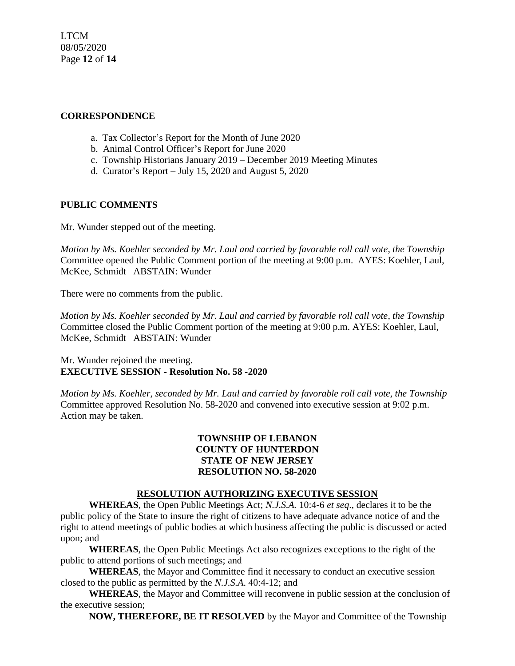LTCM 08/05/2020 Page **12** of **14**

# **CORRESPONDENCE**

- a. Tax Collector's Report for the Month of June 2020
- b. Animal Control Officer's Report for June 2020
- c. Township Historians January 2019 December 2019 Meeting Minutes
- d. Curator's Report July 15, 2020 and August 5, 2020

## **PUBLIC COMMENTS**

Mr. Wunder stepped out of the meeting.

*Motion by Ms. Koehler seconded by Mr. Laul and carried by favorable roll call vote, the Township* Committee opened the Public Comment portion of the meeting at 9:00 p.m. AYES: Koehler, Laul, McKee, Schmidt ABSTAIN: Wunder

There were no comments from the public.

*Motion by Ms. Koehler seconded by Mr. Laul and carried by favorable roll call vote, the Township* Committee closed the Public Comment portion of the meeting at 9:00 p.m. AYES: Koehler, Laul, McKee, Schmidt ABSTAIN: Wunder

Mr. Wunder rejoined the meeting. **EXECUTIVE SESSION - Resolution No. 58 -2020**

*Motion by Ms. Koehler, seconded by Mr. Laul and carried by favorable roll call vote, the Township* Committee approved Resolution No. 58-2020 and convened into executive session at 9:02 p.m. Action may be taken.

# **TOWNSHIP OF LEBANON COUNTY OF HUNTERDON STATE OF NEW JERSEY RESOLUTION NO. 58-2020**

## **RESOLUTION AUTHORIZING EXECUTIVE SESSION**

**WHEREAS**, the Open Public Meetings Act; *N.J.S.A.* 10:4-6 *et seq*., declares it to be the public policy of the State to insure the right of citizens to have adequate advance notice of and the right to attend meetings of public bodies at which business affecting the public is discussed or acted upon; and

**WHEREAS**, the Open Public Meetings Act also recognizes exceptions to the right of the public to attend portions of such meetings; and

**WHEREAS**, the Mayor and Committee find it necessary to conduct an executive session closed to the public as permitted by the *N.J.S.A*. 40:4-12; and

**WHEREAS**, the Mayor and Committee will reconvene in public session at the conclusion of the executive session;

**NOW, THEREFORE, BE IT RESOLVED** by the Mayor and Committee of the Township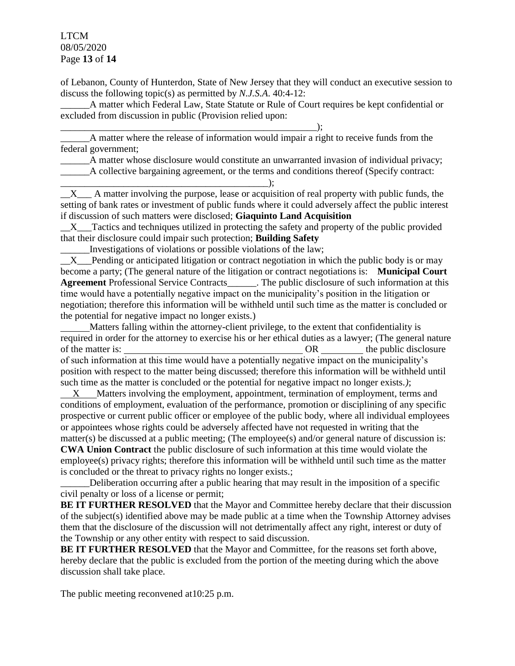# LTCM 08/05/2020 Page **13** of **14**

of Lebanon, County of Hunterdon, State of New Jersey that they will conduct an executive session to discuss the following topic(s) as permitted by *N.J.S.A*. 40:4-12:

\_\_\_\_\_\_A matter which Federal Law, State Statute or Rule of Court requires be kept confidential or excluded from discussion in public (Provision relied upon:

\_\_\_\_\_\_\_\_\_\_\_\_\_\_\_\_\_\_\_\_\_\_\_\_\_\_\_\_\_\_\_\_\_\_\_\_\_\_\_\_\_\_\_\_\_\_\_\_\_\_\_\_\_); \_\_\_\_\_\_A matter where the release of information would impair a right to receive funds from the federal government;

\_\_\_\_\_\_A matter whose disclosure would constitute an unwarranted invasion of individual privacy;

\_\_\_\_\_\_A collective bargaining agreement, or the terms and conditions thereof (Specify contract:

\_\_\_\_\_\_\_\_\_\_\_\_\_\_\_\_\_\_\_\_\_\_\_\_\_\_\_\_\_\_\_\_\_\_\_\_\_\_\_\_\_\_\_);  $X_{\text{max}}$  A matter involving the purpose, lease or acquisition of real property with public funds, the setting of bank rates or investment of public funds where it could adversely affect the public interest if discussion of such matters were disclosed; **Giaquinto Land Acquisition**

X Tactics and techniques utilized in protecting the safety and property of the public provided that their disclosure could impair such protection; **Building Safety**

\_\_\_\_\_\_Investigations of violations or possible violations of the law;

X Pending or anticipated litigation or contract negotiation in which the public body is or may become a party; (The general nature of the litigation or contract negotiations is: **Municipal Court**  Agreement Professional Service Contracts The public disclosure of such information at this time would have a potentially negative impact on the municipality's position in the litigation or negotiation; therefore this information will be withheld until such time as the matter is concluded or the potential for negative impact no longer exists.)

 Matters falling within the attorney-client privilege, to the extent that confidentiality is required in order for the attorney to exercise his or her ethical duties as a lawyer; (The general nature of the matter is:  $OR$  the public disclosure of such information at this time would have a potentially negative impact on the municipality's position with respect to the matter being discussed; therefore this information will be withheld until such time as the matter is concluded or the potential for negative impact no longer exists.*)*;

 X Matters involving the employment, appointment, termination of employment, terms and conditions of employment, evaluation of the performance, promotion or disciplining of any specific prospective or current public officer or employee of the public body, where all individual employees or appointees whose rights could be adversely affected have not requested in writing that the matter(s) be discussed at a public meeting; (The employee(s) and/or general nature of discussion is: **CWA Union Contract** the public disclosure of such information at this time would violate the employee(s) privacy rights; therefore this information will be withheld until such time as the matter is concluded or the threat to privacy rights no longer exists.;

Deliberation occurring after a public hearing that may result in the imposition of a specific civil penalty or loss of a license or permit;

**BE IT FURTHER RESOLVED** that the Mayor and Committee hereby declare that their discussion of the subject(s) identified above may be made public at a time when the Township Attorney advises them that the disclosure of the discussion will not detrimentally affect any right, interest or duty of the Township or any other entity with respect to said discussion.

**BE IT FURTHER RESOLVED** that the Mayor and Committee, for the reasons set forth above, hereby declare that the public is excluded from the portion of the meeting during which the above discussion shall take place.

The public meeting reconvened at 10:25 p.m.